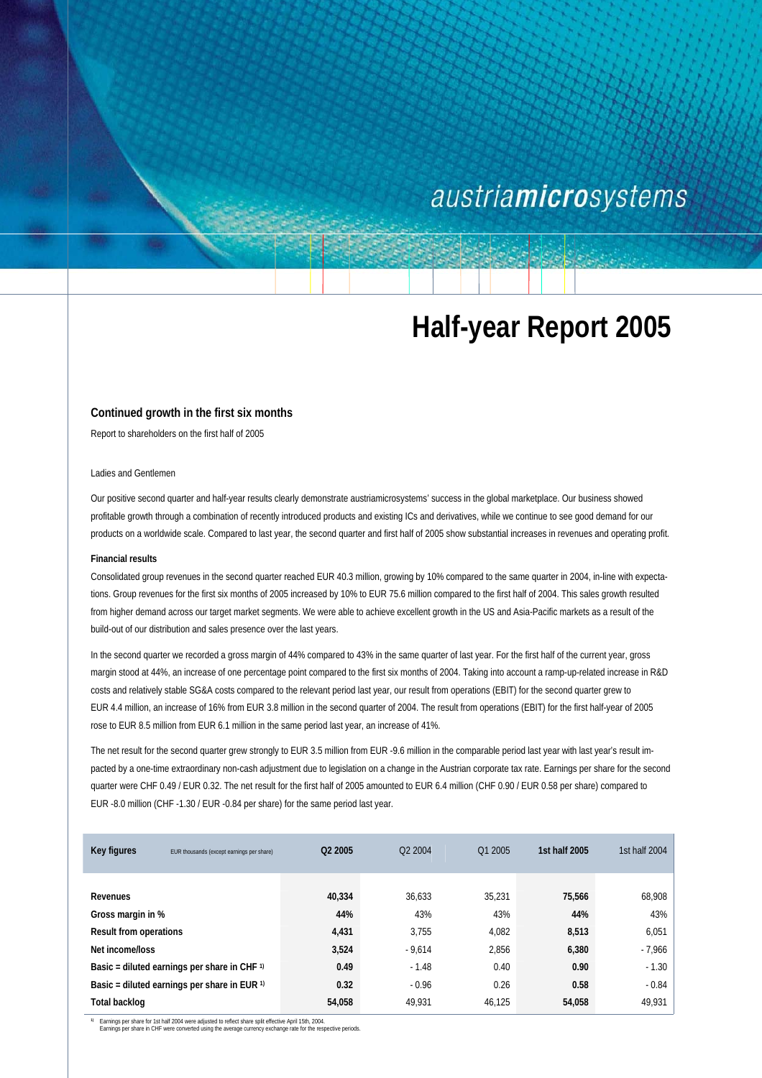# austriamicrosystems

# **Half-year Report 2005**

### **Continued growth in the first six months**

Report to shareholders on the first half of 2005

#### Ladies and Gentlemen

Our positive second quarter and half-year results clearly demonstrate austriamicrosystems' success in the global marketplace. Our business showed profitable growth through a combination of recently introduced products and existing ICs and derivatives, while we continue to see good demand for our products on a worldwide scale. Compared to last year, the second quarter and first half of 2005 show substantial increases in revenues and operating profit.

### **Financial results**

Consolidated group revenues in the second quarter reached EUR 40.3 million, growing by 10% compared to the same quarter in 2004, in-line with expectations. Group revenues for the first six months of 2005 increased by 10% to EUR 75.6 million compared to the first half of 2004. This sales growth resulted from higher demand across our target market segments. We were able to achieve excellent growth in the US and Asia-Pacific markets as a result of the build-out of our distribution and sales presence over the last years.

In the second quarter we recorded a gross margin of 44% compared to 43% in the same quarter of last year. For the first half of the current year, gross margin stood at 44%, an increase of one percentage point compared to the first six months of 2004. Taking into account a ramp-up-related increase in R&D costs and relatively stable SG&A costs compared to the relevant period last year, our result from operations (EBIT) for the second quarter grew to EUR 4.4 million, an increase of 16% from EUR 3.8 million in the second quarter of 2004. The result from operations (EBIT) for the first half-year of 2005 rose to EUR 8.5 million from EUR 6.1 million in the same period last year, an increase of 41%.

The net result for the second quarter grew strongly to EUR 3.5 million from EUR -9.6 million in the comparable period last year with last year's result impacted by a one-time extraordinary non-cash adjustment due to legislation on a change in the Austrian corporate tax rate. Earnings per share for the second quarter were CHF 0.49 / EUR 0.32. The net result for the first half of 2005 amounted to EUR 6.4 million (CHF 0.90 / EUR 0.58 per share) compared to EUR -8.0 million (CHF -1.30 / EUR -0.84 per share) for the same period last year.

| Key figures                   | EUR thousands (except earnings per share)               | O <sub>2</sub> 2005 | O <sub>2</sub> 2004 | Q1 2005 | 1st half 2005 | 1st half 2004 |
|-------------------------------|---------------------------------------------------------|---------------------|---------------------|---------|---------------|---------------|
|                               |                                                         |                     |                     |         |               |               |
| Revenues                      |                                                         | 40,334              | 36,633              | 35.231  | 75,566        | 68,908        |
| Gross margin in %             |                                                         | 44%                 | 43%                 | 43%     | 44%           | 43%           |
| <b>Result from operations</b> |                                                         | 4,431               | 3.755               | 4,082   | 8,513         | 6,051         |
| Net income/loss               |                                                         | 3,524               | $-9.614$            | 2,856   | 6,380         | $-7.966$      |
|                               | Basic = diluted earnings per share in CHF $\frac{1}{1}$ | 0.49                | $-1.48$             | 0.40    | 0.90          | $-1.30$       |
|                               | Basic = diluted earnings per share in EUR $\theta$      | 0.32                | $-0.96$             | 0.26    | 0.58          | $-0.84$       |
| Total backlog                 |                                                         | 54,058              | 49.931              | 46.125  | 54,058        | 49,931        |

<sup>1</sup> Earnings per share for 1st half 2004 were adjusted to reflect share split effective April 15th, 2004.<br>Earnings per share in CHF were converted using the average currency exchange rate for the respective periods.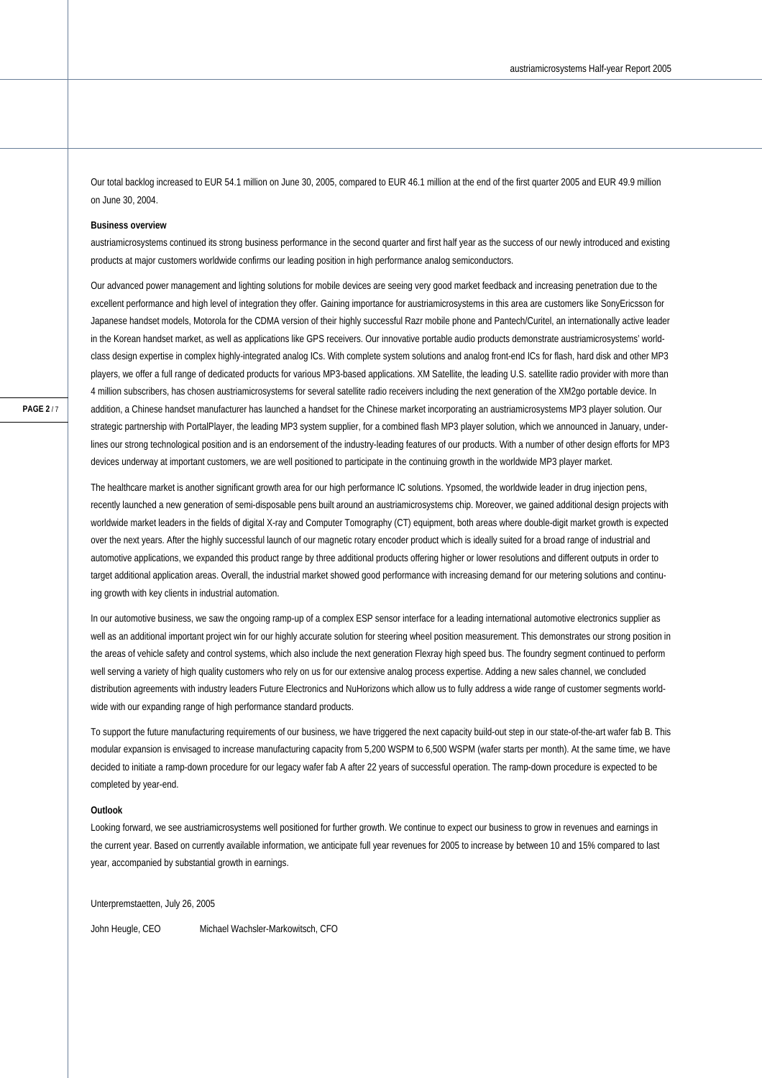Our total backlog increased to EUR 54.1 million on June 30, 2005, compared to EUR 46.1 million at the end of the first quarter 2005 and EUR 49.9 million on June 30, 2004.

#### **Business overview**

austriamicrosystems continued its strong business performance in the second quarter and first half year as the success of our newly introduced and existing products at major customers worldwide confirms our leading position in high performance analog semiconductors.

Our advanced power management and lighting solutions for mobile devices are seeing very good market feedback and increasing penetration due to the excellent performance and high level of integration they offer. Gaining importance for austriamicrosystems in this area are customers like SonyEricsson for Japanese handset models, Motorola for the CDMA version of their highly successful Razr mobile phone and Pantech/Curitel, an internationally active leader in the Korean handset market, as well as applications like GPS receivers. Our innovative portable audio products demonstrate austriamicrosystems' worldclass design expertise in complex highly-integrated analog ICs. With complete system solutions and analog front-end ICs for flash, hard disk and other MP3 players, we offer a full range of dedicated products for various MP3-based applications. XM Satellite, the leading U.S. satellite radio provider with more than 4 million subscribers, has chosen austriamicrosystems for several satellite radio receivers including the next generation of the XM2go portable device. In addition, a Chinese handset manufacturer has launched a handset for the Chinese market incorporating an austriamicrosystems MP3 player solution. Our strategic partnership with PortalPlayer, the leading MP3 system supplier, for a combined flash MP3 player solution, which we announced in January, underlines our strong technological position and is an endorsement of the industry-leading features of our products. With a number of other design efforts for MP3 devices underway at important customers, we are well positioned to participate in the continuing growth in the worldwide MP3 player market.

The healthcare market is another significant growth area for our high performance IC solutions. Ypsomed, the worldwide leader in drug injection pens, recently launched a new generation of semi-disposable pens built around an austriamicrosystems chip. Moreover, we gained additional design projects with worldwide market leaders in the fields of digital X-ray and Computer Tomography (CT) equipment, both areas where double-digit market growth is expected over the next years. After the highly successful launch of our magnetic rotary encoder product which is ideally suited for a broad range of industrial and automotive applications, we expanded this product range by three additional products offering higher or lower resolutions and different outputs in order to target additional application areas. Overall, the industrial market showed good performance with increasing demand for our metering solutions and continuing growth with key clients in industrial automation.

In our automotive business, we saw the ongoing ramp-up of a complex ESP sensor interface for a leading international automotive electronics supplier as well as an additional important project win for our highly accurate solution for steering wheel position measurement. This demonstrates our strong position in the areas of vehicle safety and control systems, which also include the next generation Flexray high speed bus. The foundry segment continued to perform well serving a variety of high quality customers who rely on us for our extensive analog process expertise. Adding a new sales channel, we concluded distribution agreements with industry leaders Future Electronics and NuHorizons which allow us to fully address a wide range of customer segments worldwide with our expanding range of high performance standard products.

To support the future manufacturing requirements of our business, we have triggered the next capacity build-out step in our state-of-the-art wafer fab B. This modular expansion is envisaged to increase manufacturing capacity from 5,200 WSPM to 6,500 WSPM (wafer starts per month). At the same time, we have decided to initiate a ramp-down procedure for our legacy wafer fab A after 22 years of successful operation. The ramp-down procedure is expected to be completed by year-end.

#### **Outlook**

Looking forward, we see austriamicrosystems well positioned for further growth. We continue to expect our business to grow in revenues and earnings in the current year. Based on currently available information, we anticipate full year revenues for 2005 to increase by between 10 and 15% compared to last year, accompanied by substantial growth in earnings.

Unterpremstaetten, July 26, 2005

John Heugle, CEO Michael Wachsler-Markowitsch, CFO

**PAGE 2** / 7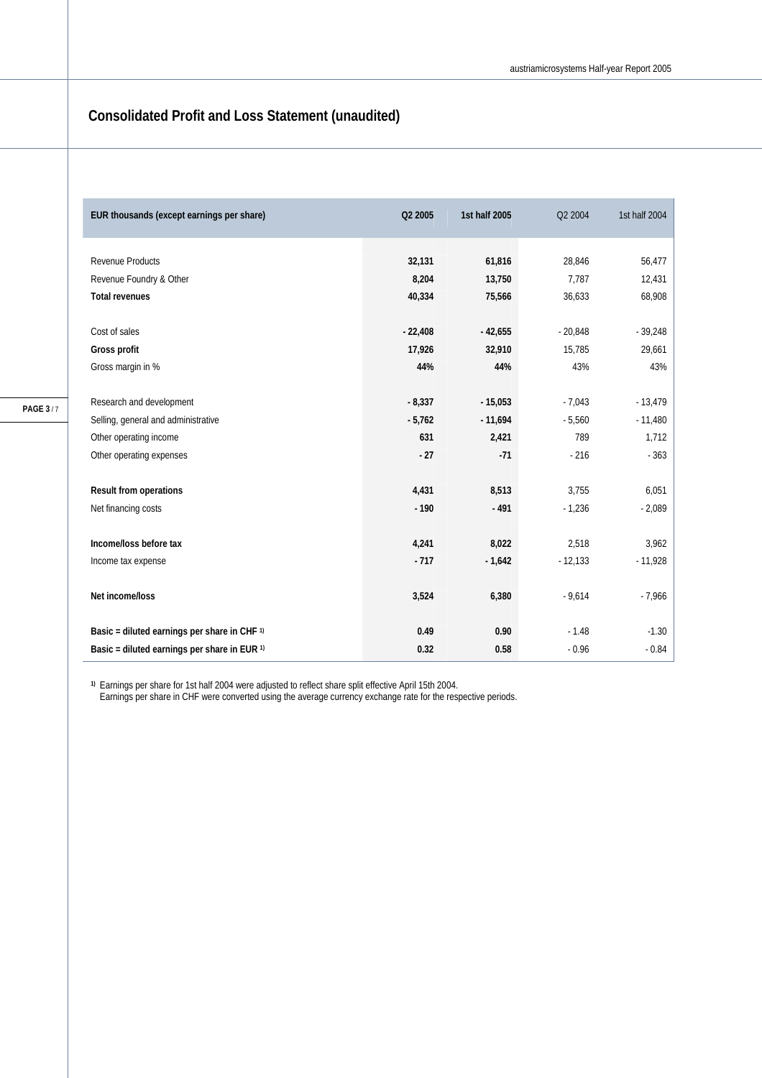# **Consolidated Profit and Loss Statement (unaudited)**

| Q2 2005   | 1st half 2005             | Q2 2004                    | 1st half 2004             |
|-----------|---------------------------|----------------------------|---------------------------|
|           |                           |                            |                           |
|           |                           |                            | 56,477                    |
|           |                           |                            | 12,431                    |
|           |                           |                            | 68,908                    |
|           |                           |                            |                           |
| $-22,408$ | $-42,655$                 | $-20,848$                  | $-39,248$                 |
| 17,926    | 32,910                    | 15,785                     | 29,661                    |
| 44%       | 44%                       | 43%                        | 43%                       |
|           |                           |                            |                           |
| $-8,337$  | $-15,053$                 | $-7,043$                   | $-13,479$                 |
| $-5,762$  | $-11,694$                 | $-5,560$                   | $-11,480$                 |
| 631       | 2,421                     | 789                        | 1,712                     |
| $-27$     | $-71$                     | $-216$                     | $-363$                    |
|           |                           |                            |                           |
| 4,431     | 8,513                     | 3,755                      | 6,051                     |
| $-190$    | $-491$                    | $-1,236$                   | $-2,089$                  |
|           |                           |                            |                           |
| 4,241     | 8,022                     | 2,518                      | 3,962                     |
| $-717$    | $-1,642$                  | $-12,133$                  | $-11,928$                 |
|           |                           |                            |                           |
| 3,524     | 6,380                     | $-9,614$                   | $-7,966$                  |
|           |                           |                            |                           |
| 0.49      | 0.90                      | $-1.48$                    | $-1.30$                   |
| 0.32      | 0.58                      | $-0.96$                    | $-0.84$                   |
|           | 32,131<br>8,204<br>40,334 | 61,816<br>13,750<br>75,566 | 28,846<br>7,787<br>36,633 |

**1)** Earnings per share for 1st half 2004 were adjusted to reflect share split effective April 15th 2004.

Earnings per share in CHF were converted using the average currency exchange rate for the respective periods.

**PAGE 3** / 7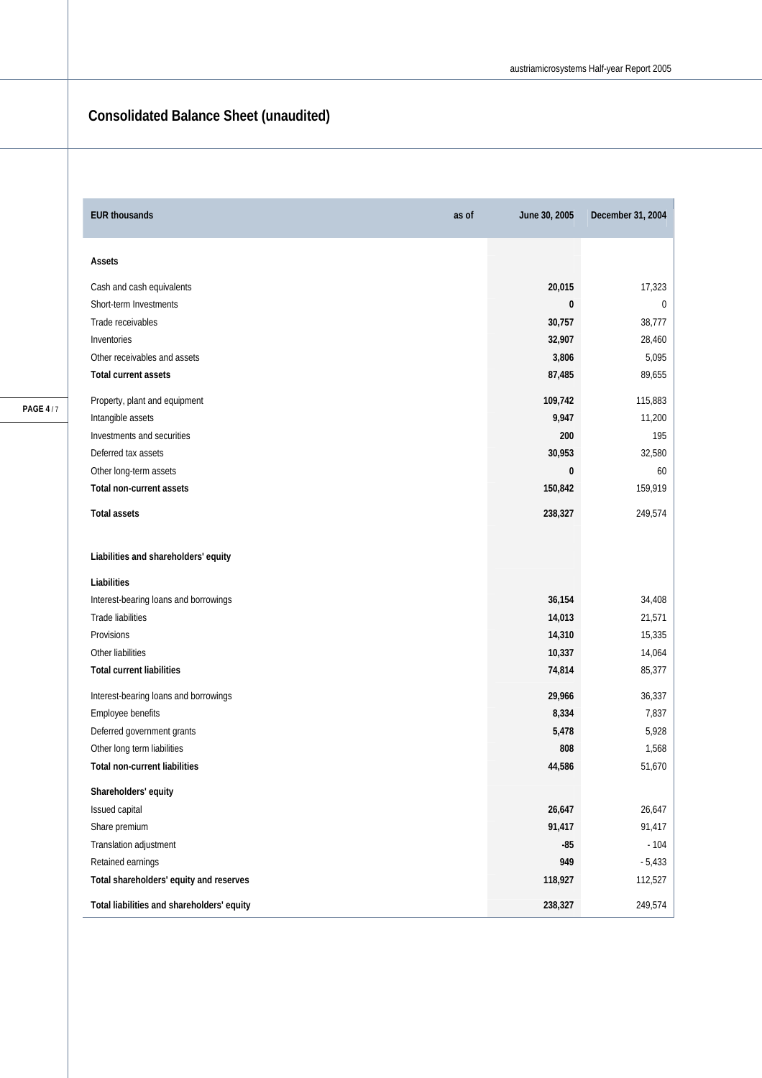# **Consolidated Balance Sheet (unaudited)**

| <b>EUR thousands</b><br>as of              | June 30, 2005 | December 31, 2004 |
|--------------------------------------------|---------------|-------------------|
| Assets                                     |               |                   |
| Cash and cash equivalents                  | 20,015        | 17,323            |
| Short-term Investments                     | 0             | 0                 |
| Trade receivables                          | 30,757        | 38,777            |
| Inventories                                | 32,907        | 28,460            |
| Other receivables and assets               | 3,806         | 5,095             |
| <b>Total current assets</b>                | 87,485        | 89,655            |
| Property, plant and equipment              | 109,742       | 115,883           |
| Intangible assets                          | 9,947         | 11,200            |
| Investments and securities                 | 200           | 195               |
| Deferred tax assets                        | 30,953        | 32,580            |
| Other long-term assets                     | $\bf{0}$      | 60                |
| <b>Total non-current assets</b>            | 150,842       | 159,919           |
| <b>Total assets</b>                        | 238,327       | 249,574           |
| Liabilities and shareholders' equity       |               |                   |
| Liabilities                                |               |                   |
| Interest-bearing loans and borrowings      | 36,154        | 34,408            |
| <b>Trade liabilities</b>                   | 14,013        | 21,571            |
| Provisions                                 | 14,310        | 15,335            |
| Other liabilities                          | 10,337        | 14,064            |
| <b>Total current liabilities</b>           | 74,814        | 85,377            |
| Interest-bearing loans and borrowings      | 29,966        | 36,337            |
| Employee benefits                          | 8,334         | 7,837             |
| Deferred government grants                 | 5,478         | 5,928             |
| Other long term liabilities                | 808           | 1,568             |
| <b>Total non-current liabilities</b>       | 44,586        | 51,670            |
| Shareholders' equity                       |               |                   |
| Issued capital                             | 26,647        | 26,647            |
| Share premium                              | 91,417        | 91,417            |
| Translation adjustment                     | $-85$         | $-104$            |
| Retained earnings                          | 949           | $-5,433$          |
| Total shareholders' equity and reserves    | 118,927       | 112,527           |
| Total liabilities and shareholders' equity | 238,327       | 249,574           |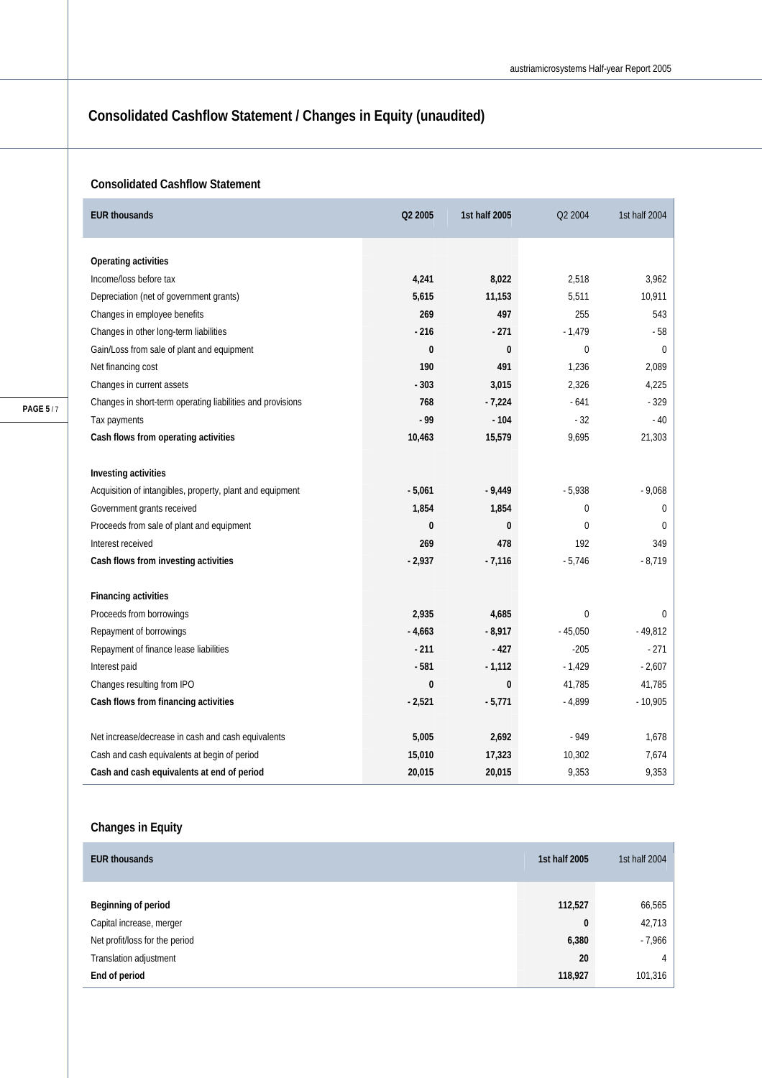# **Consolidated Cashflow Statement / Changes in Equity (unaudited)**

### **Consolidated Cashflow Statement**

| <b>EUR thousands</b>                                       | Q2 2005  | 1st half 2005 | Q2 2004      | 1st half 2004 |
|------------------------------------------------------------|----------|---------------|--------------|---------------|
| Operating activities                                       |          |               |              |               |
| Income/loss before tax                                     | 4,241    | 8,022         | 2,518        | 3,962         |
| Depreciation (net of government grants)                    | 5,615    | 11,153        | 5,511        | 10,911        |
| Changes in employee benefits                               | 269      | 497           | 255          | 543           |
| Changes in other long-term liabilities                     | $-216$   | $-271$        | $-1,479$     | - 58          |
| Gain/Loss from sale of plant and equipment                 | $\bf{0}$ | $\mathbf{0}$  | $\Omega$     | $\Omega$      |
| Net financing cost                                         | 190      | 491           | 1,236        | 2,089         |
| Changes in current assets                                  | $-303$   | 3,015         | 2,326        | 4,225         |
| Changes in short-term operating liabilities and provisions | 768      | $-7,224$      | $-641$       | $-329$        |
| Tax payments                                               | - 99     | $-104$        | $-32$        | $-40$         |
| Cash flows from operating activities                       | 10,463   | 15,579        | 9,695        | 21,303        |
|                                                            |          |               |              |               |
| Investing activities                                       |          |               |              |               |
| Acquisition of intangibles, property, plant and equipment  | $-5,061$ | $-9,449$      | $-5,938$     | $-9,068$      |
| Government grants received                                 | 1,854    | 1,854         | $\mathbf{0}$ | 0             |
| Proceeds from sale of plant and equipment                  | 0        | $\bf{0}$      | $\mathbf{0}$ | 0             |
| Interest received                                          | 269      | 478           | 192          | 349           |
| Cash flows from investing activities                       | $-2,937$ | $-7,116$      | $-5,746$     | $-8,719$      |
| <b>Financing activities</b>                                |          |               |              |               |
| Proceeds from borrowings                                   | 2,935    | 4,685         | $\mathbf{0}$ | 0             |
| Repayment of borrowings                                    | $-4,663$ | $-8,917$      | $-45.050$    | $-49,812$     |
| Repayment of finance lease liabilities                     | $-211$   | $-427$        | $-205$       | $-271$        |
| Interest paid                                              | $-581$   | $-1,112$      | $-1,429$     | $-2,607$      |
| Changes resulting from IPO                                 | 0        | $\mathbf{0}$  | 41,785       | 41,785        |
| Cash flows from financing activities                       | $-2,521$ | $-5,771$      | $-4,899$     | $-10,905$     |
|                                                            |          |               |              |               |
| Net increase/decrease in cash and cash equivalents         | 5,005    | 2,692         | $-949$       | 1,678         |
| Cash and cash equivalents at begin of period               | 15,010   | 17,323        | 10,302       | 7,674         |
| Cash and cash equivalents at end of period                 | 20,015   | 20,015        | 9,353        | 9,353         |

### **Changes in Equity**

| <b>EUR thousands</b>           | 1st half 2005 | 1st half 2004 |
|--------------------------------|---------------|---------------|
|                                |               |               |
| Beginning of period            | 112,527       | 66,565        |
| Capital increase, merger       | $\bf{0}$      | 42,713        |
| Net profit/loss for the period | 6,380         | $-7,966$      |
| Translation adjustment         | 20            | 4             |
| End of period                  | 118,927       | 101,316       |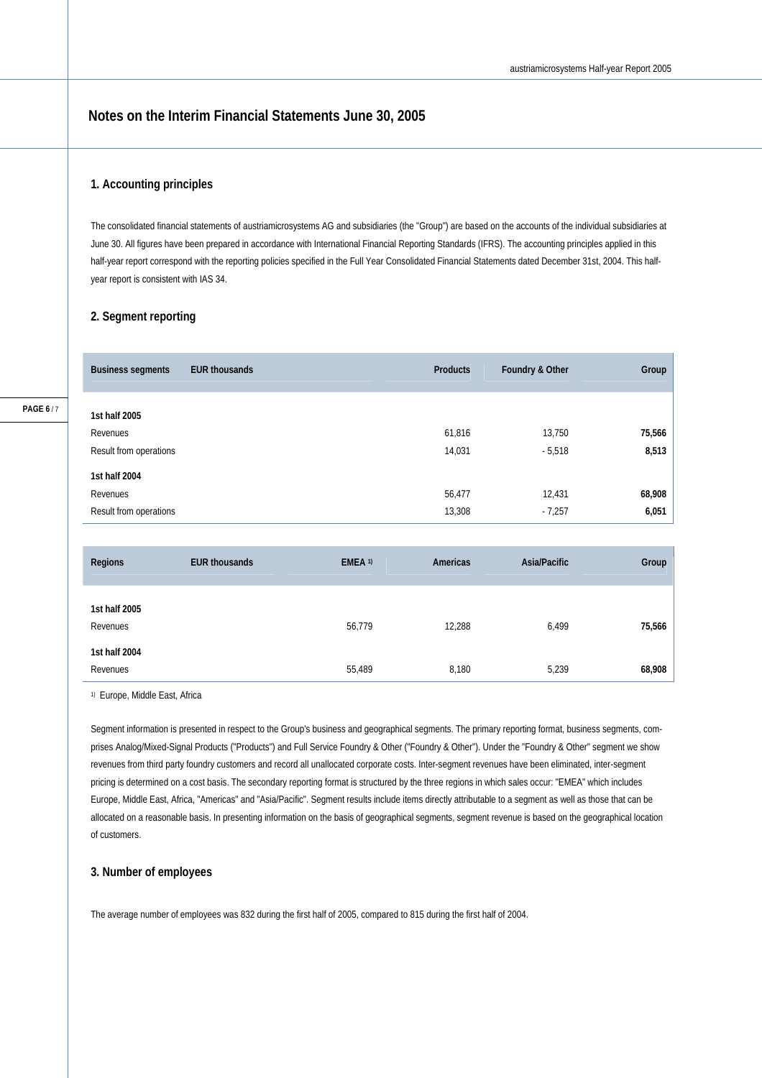### **Notes on the Interim Financial Statements June 30, 2005**

### **1. Accounting principles**

The consolidated financial statements of austriamicrosystems AG and subsidiaries (the "Group") are based on the accounts of the individual subsidiaries at June 30. All figures have been prepared in accordance with International Financial Reporting Standards (IFRS). The accounting principles applied in this half-year report correspond with the reporting policies specified in the Full Year Consolidated Financial Statements dated December 31st, 2004. This halfyear report is consistent with IAS 34.

### **2. Segment reporting**

| <b>EUR thousands</b><br><b>Business segments</b> | <b>Products</b> | Foundry & Other | Group  |
|--------------------------------------------------|-----------------|-----------------|--------|
| 1st half 2005                                    |                 |                 |        |
|                                                  |                 |                 |        |
| Revenues                                         | 61,816          | 13,750          | 75,566 |
| Result from operations                           | 14,031          | $-5,518$        | 8,513  |
| 1st half 2004                                    |                 |                 |        |
| Revenues                                         | 56,477          | 12,431          | 68,908 |
| Result from operations                           | 13,308          | $-7,257$        | 6,051  |

| Regions                   | <b>EUR thousands</b> | EMEA <sup>1)</sup> | Americas | Asia/Pacific | Group  |
|---------------------------|----------------------|--------------------|----------|--------------|--------|
| 1st half 2005<br>Revenues |                      | 56,779             | 12,288   | 6,499        | 75,566 |
| 1st half 2004<br>Revenues |                      | 55,489             | 8,180    | 5,239        | 68,908 |

1) Europe, Middle East, Africa

Segment information is presented in respect to the Group's business and geographical segments. The primary reporting format, business segments, comprises Analog/Mixed-Signal Products ("Products") and Full Service Foundry & Other ("Foundry & Other"). Under the "Foundry & Other" segment we show revenues from third party foundry customers and record all unallocated corporate costs. Inter-segment revenues have been eliminated, inter-segment pricing is determined on a cost basis. The secondary reporting format is structured by the three regions in which sales occur: "EMEA" which includes Europe, Middle East, Africa, "Americas" and "Asia/Pacific". Segment results include items directly attributable to a segment as well as those that can be allocated on a reasonable basis. In presenting information on the basis of geographical segments, segment revenue is based on the geographical location of customers.

### **3. Number of employees**

The average number of employees was 832 during the first half of 2005, compared to 815 during the first half of 2004.

**PAGE 6** / 7